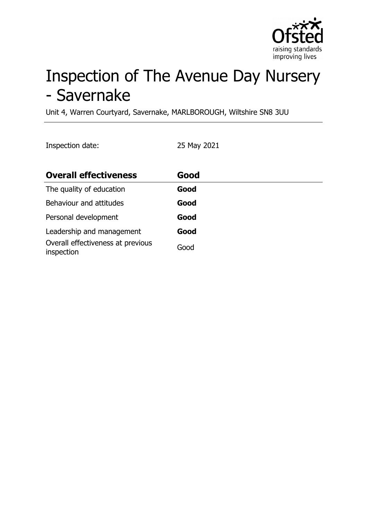

# Inspection of The Avenue Day Nursery - Savernake

Unit 4, Warren Courtyard, Savernake, MARLBOROUGH, Wiltshire SN8 3UU

Inspection date: 25 May 2021

| <b>Overall effectiveness</b>                    | Good |
|-------------------------------------------------|------|
| The quality of education                        | Good |
| Behaviour and attitudes                         | Good |
| Personal development                            | Good |
| Leadership and management                       | Good |
| Overall effectiveness at previous<br>inspection | Good |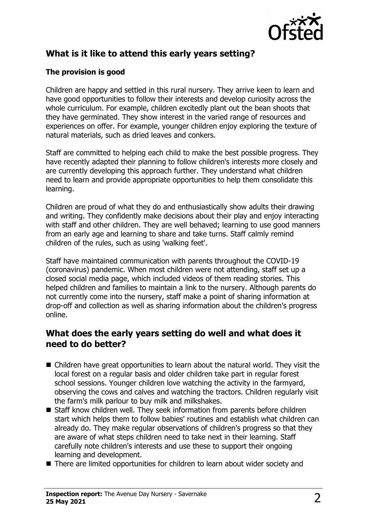

## **What is it like to attend this early years setting?**

#### **The provision is good**

Children are happy and settled in this rural nursery. They arrive keen to learn and have good opportunities to follow their interests and develop curiosity across the whole curriculum. For example, children excitedly plant out the bean shoots that they have germinated. They show interest in the varied range of resources and experiences on offer. For example, younger children enjoy exploring the texture of natural materials, such as dried leaves and conkers.

Staff are committed to helping each child to make the best possible progress. They have recently adapted their planning to follow children's interests more closely and are currently developing this approach further. They understand what children need to learn and provide appropriate opportunities to help them consolidate this learning.

Children are proud of what they do and enthusiastically show adults their drawing and writing. They confidently make decisions about their play and enjoy interacting with staff and other children. They are well behaved; learning to use good manners from an early age and learning to share and take turns. Staff calmly remind children of the rules, such as using 'walking feet'.

Staff have maintained communication with parents throughout the COVID-19 (coronavirus) pandemic. When most children were not attending, staff set up a closed social media page, which included videos of them reading stories. This helped children and families to maintain a link to the nursery. Although parents do not currently come into the nursery, staff make a point of sharing information at drop-off and collection as well as sharing information about the children's progress online.

### **What does the early years setting do well and what does it need to do better?**

- $\blacksquare$  Children have great opportunities to learn about the natural world. They visit the local forest on a regular basis and older children take part in regular forest school sessions. Younger children love watching the activity in the farmyard, observing the cows and calves and watching the tractors. Children regularly visit the farm's milk parlour to buy milk and milkshakes.
- Staff know children well. They seek information from parents before children start which helps them to follow babies' routines and establish what children can already do. They make regular observations of children's progress so that they are aware of what steps children need to take next in their learning. Staff carefully note children's interests and use these to support their ongoing learning and development.
- $\blacksquare$  There are limited opportunities for children to learn about wider society and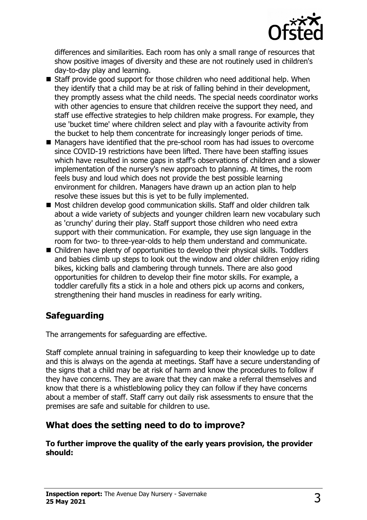

differences and similarities. Each room has only a small range of resources that show positive images of diversity and these are not routinely used in children's day-to-day play and learning.

- $\blacksquare$  Staff provide good support for those children who need additional help. When they identify that a child may be at risk of falling behind in their development, they promptly assess what the child needs. The special needs coordinator works with other agencies to ensure that children receive the support they need, and staff use effective strategies to help children make progress. For example, they use 'bucket time' where children select and play with a favourite activity from the bucket to help them concentrate for increasingly longer periods of time.
- Managers have identified that the pre-school room has had issues to overcome since COVID-19 restrictions have been lifted. There have been staffing issues which have resulted in some gaps in staff's observations of children and a slower implementation of the nursery's new approach to planning. At times, the room feels busy and loud which does not provide the best possible learning environment for children. Managers have drawn up an action plan to help resolve these issues but this is yet to be fully implemented.
- Most children develop good communication skills. Staff and older children talk about a wide variety of subjects and younger children learn new vocabulary such as 'crunchy' during their play. Staff support those children who need extra support with their communication. For example, they use sign language in the room for two- to three-year-olds to help them understand and communicate.
- $\blacksquare$  Children have plenty of opportunities to develop their physical skills. Toddlers and babies climb up steps to look out the window and older children enjoy riding bikes, kicking balls and clambering through tunnels. There are also good opportunities for children to develop their fine motor skills. For example, a toddler carefully fits a stick in a hole and others pick up acorns and conkers, strengthening their hand muscles in readiness for early writing.

# **Safeguarding**

The arrangements for safeguarding are effective.

Staff complete annual training in safeguarding to keep their knowledge up to date and this is always on the agenda at meetings. Staff have a secure understanding of the signs that a child may be at risk of harm and know the procedures to follow if they have concerns. They are aware that they can make a referral themselves and know that there is a whistleblowing policy they can follow if they have concerns about a member of staff. Staff carry out daily risk assessments to ensure that the premises are safe and suitable for children to use.

## **What does the setting need to do to improve?**

**To further improve the quality of the early years provision, the provider should:**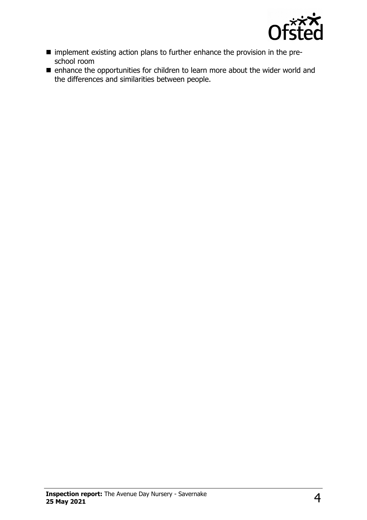

- n implement existing action plans to further enhance the provision in the preschool room
- enhance the opportunities for children to learn more about the wider world and the differences and similarities between people.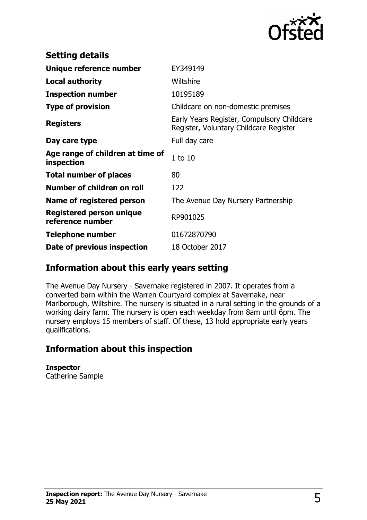

| <b>Setting details</b>                         |                                                                                      |
|------------------------------------------------|--------------------------------------------------------------------------------------|
| Unique reference number                        | EY349149                                                                             |
| <b>Local authority</b>                         | Wiltshire                                                                            |
| <b>Inspection number</b>                       | 10195189                                                                             |
| <b>Type of provision</b>                       | Childcare on non-domestic premises                                                   |
| <b>Registers</b>                               | Early Years Register, Compulsory Childcare<br>Register, Voluntary Childcare Register |
| Day care type                                  | Full day care                                                                        |
| Age range of children at time of<br>inspection | $1$ to $10$                                                                          |
| <b>Total number of places</b>                  | 80                                                                                   |
| Number of children on roll                     | 122                                                                                  |
| Name of registered person                      | The Avenue Day Nursery Partnership                                                   |
| Registered person unique<br>reference number   | RP901025                                                                             |
| <b>Telephone number</b>                        | 01672870790                                                                          |
| Date of previous inspection                    | 18 October 2017                                                                      |

## **Information about this early years setting**

The Avenue Day Nursery - Savernake registered in 2007. It operates from a converted barn within the Warren Courtyard complex at Savernake, near Marlborough, Wiltshire. The nursery is situated in a rural setting in the grounds of a working dairy farm. The nursery is open each weekday from 8am until 6pm. The nursery employs 15 members of staff. Of these, 13 hold appropriate early years qualifications.

## **Information about this inspection**

**Inspector**

Catherine Sample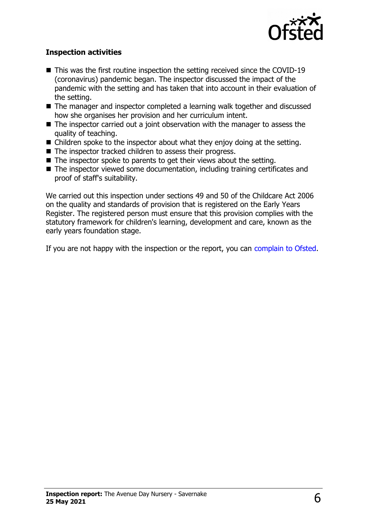

#### **Inspection activities**

- $\blacksquare$  This was the first routine inspection the setting received since the COVID-19 (coronavirus) pandemic began. The inspector discussed the impact of the pandemic with the setting and has taken that into account in their evaluation of the setting.
- The manager and inspector completed a learning walk together and discussed how she organises her provision and her curriculum intent.
- $\blacksquare$  The inspector carried out a joint observation with the manager to assess the quality of teaching.
- $\blacksquare$  Children spoke to the inspector about what they enjoy doing at the setting.
- $\blacksquare$  The inspector tracked children to assess their progress.
- $\blacksquare$  The inspector spoke to parents to get their views about the setting.
- $\blacksquare$  The inspector viewed some documentation, including training certificates and proof of staff's suitability.

We carried out this inspection under sections 49 and 50 of the Childcare Act 2006 on the quality and standards of provision that is registered on the Early Years Register. The registered person must ensure that this provision complies with the statutory framework for children's learning, development and care, known as the early years foundation stage.

If you are not happy with the inspection or the report, you can [complain to Ofsted.](http://www.gov.uk/complain-ofsted-report)